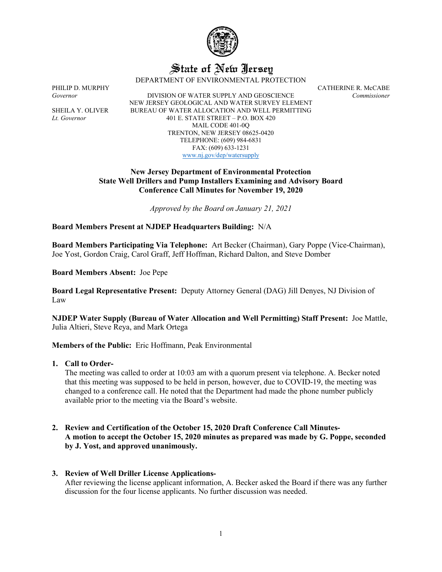

# State of New Jersey

DEPARTMENT OF ENVIRONMENTAL PROTECTION

*Governor* DIVISION OF WATER SUPPLY AND GEOSCIENCE *Commissioner* NEW JERSEY GEOLOGICAL AND WATER SURVEY ELEMENT SHEILA Y. OLIVER BUREAU OF WATER ALLOCATION AND WELL PERMITTING *Lt. Governor* 401 E. STATE STREET – P.O. BOX 420 MAIL CODE 401-0Q TRENTON, NEW JERSEY 08625-0420 TELEPHONE: (609) 984-6831 FAX: (609) 633-1231 [www.nj.gov/dep/watersupply](http://www.nj.gov/dep/watersupply)

PHILIP D. MURPHY CATHERINE R. McCABE

# **New Jersey Department of Environmental Protection State Well Drillers and Pump Installers Examining and Advisory Board Conference Call Minutes for November 19, 2020**

*Approved by the Board on January 21, 2021*

**Board Members Present at NJDEP Headquarters Building:** N/A

**Board Members Participating Via Telephone:** Art Becker (Chairman), Gary Poppe (Vice-Chairman), Joe Yost, Gordon Craig, Carol Graff, Jeff Hoffman, Richard Dalton, and Steve Domber

**Board Members Absent:** Joe Pepe

**Board Legal Representative Present:** Deputy Attorney General (DAG) Jill Denyes, NJ Division of Law

**NJDEP Water Supply (Bureau of Water Allocation and Well Permitting) Staff Present:** Joe Mattle, Julia Altieri, Steve Reya, and Mark Ortega

**Members of the Public:** Eric Hoffmann, Peak Environmental

**1. Call to Order-**

The meeting was called to order at 10:03 am with a quorum present via telephone. A. Becker noted that this meeting was supposed to be held in person, however, due to COVID-19, the meeting was changed to a conference call. He noted that the Department had made the phone number publicly available prior to the meeting via the Board's website.

**2. Review and Certification of the October 15, 2020 Draft Conference Call Minutes-A motion to accept the October 15, 2020 minutes as prepared was made by G. Poppe, seconded by J. Yost, and approved unanimously.**

# **3. Review of Well Driller License Applications-**

After reviewing the license applicant information, A. Becker asked the Board if there was any further discussion for the four license applicants. No further discussion was needed.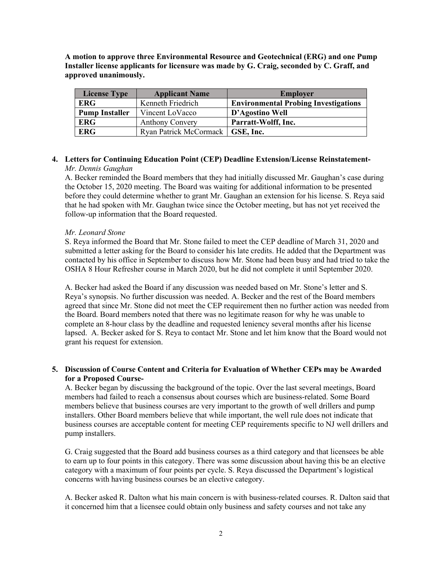**A motion to approve three Environmental Resource and Geotechnical (ERG) and one Pump Installer license applicants for licensure was made by G. Craig, seconded by C. Graff, and approved unanimously.**

| <b>License Type</b>   | <b>Applicant Name</b>              | <b>Employer</b>                             |
|-----------------------|------------------------------------|---------------------------------------------|
| <b>ERG</b>            | Kenneth Friedrich                  | <b>Environmental Probing Investigations</b> |
| <b>Pump Installer</b> | Vincent LoVacco                    | D'Agostino Well                             |
| <b>ERG</b>            | <b>Anthony Convery</b>             | Parratt-Wolff, Inc.                         |
| <b>ERG</b>            | Ryan Patrick McCormack   GSE, Inc. |                                             |

## **4. Letters for Continuing Education Point (CEP) Deadline Extension/License Reinstatement-***Mr. Dennis Gaughan*

A. Becker reminded the Board members that they had initially discussed Mr. Gaughan's case during the October 15, 2020 meeting. The Board was waiting for additional information to be presented before they could determine whether to grant Mr. Gaughan an extension for his license. S. Reya said that he had spoken with Mr. Gaughan twice since the October meeting, but has not yet received the follow-up information that the Board requested.

## *Mr. Leonard Stone*

S. Reya informed the Board that Mr. Stone failed to meet the CEP deadline of March 31, 2020 and submitted a letter asking for the Board to consider his late credits. He added that the Department was contacted by his office in September to discuss how Mr. Stone had been busy and had tried to take the OSHA 8 Hour Refresher course in March 2020, but he did not complete it until September 2020.

A. Becker had asked the Board if any discussion was needed based on Mr. Stone's letter and S. Reya's synopsis. No further discussion was needed. A. Becker and the rest of the Board members agreed that since Mr. Stone did not meet the CEP requirement then no further action was needed from the Board. Board members noted that there was no legitimate reason for why he was unable to complete an 8-hour class by the deadline and requested leniency several months after his license lapsed. A. Becker asked for S. Reya to contact Mr. Stone and let him know that the Board would not grant his request for extension.

# **5. Discussion of Course Content and Criteria for Evaluation of Whether CEPs may be Awarded for a Proposed Course-**

A. Becker began by discussing the background of the topic. Over the last several meetings, Board members had failed to reach a consensus about courses which are business-related. Some Board members believe that business courses are very important to the growth of well drillers and pump installers. Other Board members believe that while important, the well rule does not indicate that business courses are acceptable content for meeting CEP requirements specific to NJ well drillers and pump installers.

G. Craig suggested that the Board add business courses as a third category and that licensees be able to earn up to four points in this category. There was some discussion about having this be an elective category with a maximum of four points per cycle. S. Reya discussed the Department's logistical concerns with having business courses be an elective category.

A. Becker asked R. Dalton what his main concern is with business-related courses. R. Dalton said that it concerned him that a licensee could obtain only business and safety courses and not take any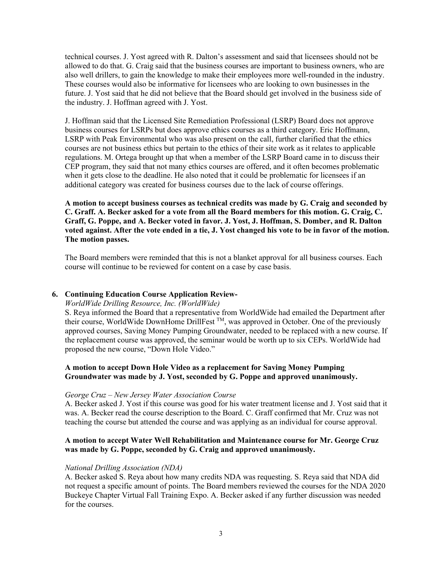technical courses. J. Yost agreed with R. Dalton's assessment and said that licensees should not be allowed to do that. G. Craig said that the business courses are important to business owners, who are also well drillers, to gain the knowledge to make their employees more well-rounded in the industry. These courses would also be informative for licensees who are looking to own businesses in the future. J. Yost said that he did not believe that the Board should get involved in the business side of the industry. J. Hoffman agreed with J. Yost.

J. Hoffman said that the Licensed Site Remediation Professional (LSRP) Board does not approve business courses for LSRPs but does approve ethics courses as a third category. Eric Hoffmann, LSRP with Peak Environmental who was also present on the call, further clarified that the ethics courses are not business ethics but pertain to the ethics of their site work as it relates to applicable regulations. M. Ortega brought up that when a member of the LSRP Board came in to discuss their CEP program, they said that not many ethics courses are offered, and it often becomes problematic when it gets close to the deadline. He also noted that it could be problematic for licensees if an additional category was created for business courses due to the lack of course offerings.

**A motion to accept business courses as technical credits was made by G. Craig and seconded by C. Graff. A. Becker asked for a vote from all the Board members for this motion. G. Craig, C. Graff, G. Poppe, and A. Becker voted in favor. J. Yost, J. Hoffman, S. Domber, and R. Dalton voted against. After the vote ended in a tie, J. Yost changed his vote to be in favor of the motion. The motion passes.**

The Board members were reminded that this is not a blanket approval for all business courses. Each course will continue to be reviewed for content on a case by case basis.

# **6. Continuing Education Course Application Review-**

#### *WorldWide Drilling Resource, Inc. (WorldWide)*

S. Reya informed the Board that a representative from WorldWide had emailed the Department after their course, WorldWide DownHome DrillFest TM, was approved in October. One of the previously approved courses, Saving Money Pumping Groundwater, needed to be replaced with a new course. If the replacement course was approved, the seminar would be worth up to six CEPs. WorldWide had proposed the new course, "Down Hole Video."

# **A motion to accept Down Hole Video as a replacement for Saving Money Pumping Groundwater was made by J. Yost, seconded by G. Poppe and approved unanimously.**

#### *George Cruz – New Jersey Water Association Course*

A. Becker asked J. Yost if this course was good for his water treatment license and J. Yost said that it was. A. Becker read the course description to the Board. C. Graff confirmed that Mr. Cruz was not teaching the course but attended the course and was applying as an individual for course approval.

# **A motion to accept Water Well Rehabilitation and Maintenance course for Mr. George Cruz was made by G. Poppe, seconded by G. Craig and approved unanimously.**

#### *National Drilling Association (NDA)*

A. Becker asked S. Reya about how many credits NDA was requesting. S. Reya said that NDA did not request a specific amount of points. The Board members reviewed the courses for the NDA 2020 Buckeye Chapter Virtual Fall Training Expo. A. Becker asked if any further discussion was needed for the courses.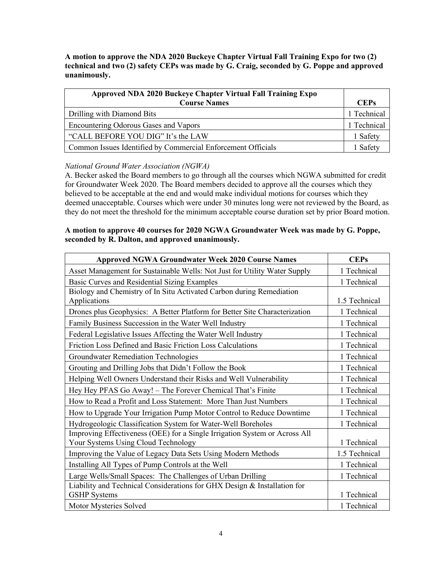**A motion to approve the NDA 2020 Buckeye Chapter Virtual Fall Training Expo for two (2) technical and two (2) safety CEPs was made by G. Craig, seconded by G. Poppe and approved unanimously.** 

| Approved NDA 2020 Buckeye Chapter Virtual Fall Training Expo |             |
|--------------------------------------------------------------|-------------|
| <b>Course Names</b>                                          | <b>CEPs</b> |
| Drilling with Diamond Bits                                   | 1 Technical |
| Encountering Odorous Gases and Vapors                        |             |
| "CALL BEFORE YOU DIG" It's the LAW                           |             |
| Common Issues Identified by Commercial Enforcement Officials |             |

# *National Ground Water Association (NGWA)*

A. Becker asked the Board members to go through all the courses which NGWA submitted for credit for Groundwater Week 2020. The Board members decided to approve all the courses which they believed to be acceptable at the end and would make individual motions for courses which they deemed unacceptable. Courses which were under 30 minutes long were not reviewed by the Board, as they do not meet the threshold for the minimum acceptable course duration set by prior Board motion.

# **A motion to approve 40 courses for 2020 NGWA Groundwater Week was made by G. Poppe, seconded by R. Dalton, and approved unanimously.**

| <b>Approved NGWA Groundwater Week 2020 Course Names</b>                    | <b>CEPs</b>   |
|----------------------------------------------------------------------------|---------------|
| Asset Management for Sustainable Wells: Not Just for Utility Water Supply  | 1 Technical   |
| Basic Curves and Residential Sizing Examples                               | 1 Technical   |
| Biology and Chemistry of In Situ Activated Carbon during Remediation       |               |
| Applications                                                               | 1.5 Technical |
| Drones plus Geophysics: A Better Platform for Better Site Characterization | 1 Technical   |
| Family Business Succession in the Water Well Industry                      | 1 Technical   |
| Federal Legislative Issues Affecting the Water Well Industry               | 1 Technical   |
| Friction Loss Defined and Basic Friction Loss Calculations                 | 1 Technical   |
| <b>Groundwater Remediation Technologies</b>                                | 1 Technical   |
| Grouting and Drilling Jobs that Didn't Follow the Book                     | 1 Technical   |
| Helping Well Owners Understand their Risks and Well Vulnerability          | 1 Technical   |
| Hey Hey PFAS Go Away! - The Forever Chemical That's Finite                 | 1 Technical   |
| How to Read a Profit and Loss Statement: More Than Just Numbers            | 1 Technical   |
| How to Upgrade Your Irrigation Pump Motor Control to Reduce Downtime       | 1 Technical   |
| Hydrogeologic Classification System for Water-Well Boreholes               | 1 Technical   |
| Improving Effectiveness (OEE) for a Single Irrigation System or Across All |               |
| Your Systems Using Cloud Technology                                        | 1 Technical   |
| Improving the Value of Legacy Data Sets Using Modern Methods               | 1.5 Technical |
| Installing All Types of Pump Controls at the Well                          | 1 Technical   |
| Large Wells/Small Spaces: The Challenges of Urban Drilling                 | 1 Technical   |
| Liability and Technical Considerations for GHX Design & Installation for   |               |
| <b>GSHP</b> Systems                                                        | 1 Technical   |
| Motor Mysteries Solved                                                     | 1 Technical   |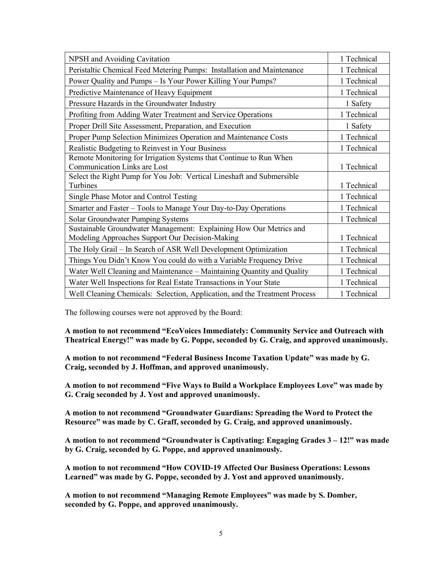| NPSH and Avoiding Cavitation                                                                                                                                                       | 1 Technical |
|------------------------------------------------------------------------------------------------------------------------------------------------------------------------------------|-------------|
| Peristaltic Chemical Feed Metering Pumps: Installation and Maintenance                                                                                                             | 1 Technical |
| Power Quality and Pumps - Is Your Power Killing Your Pumps?                                                                                                                        | 1 Technical |
| Predictive Maintenance of Heavy Equipment                                                                                                                                          | 1 Technical |
| Pressure Hazards in the Groundwater Industry                                                                                                                                       | 1 Safety    |
| Profiting from Adding Water Treatment and Service Operations                                                                                                                       | 1 Technical |
| Proper Drill Site Assessment, Preparation, and Execution                                                                                                                           | 1 Safety    |
| Proper Pump Selection Minimizes Operation and Maintenance Costs                                                                                                                    | 1 Technical |
| Realistic Budgeting to Reinvest in Your Business                                                                                                                                   | 1 Technical |
| Remote Monitoring for Irrigation Systems that Continue to Run When<br><b>Communication Links are Lost</b><br>Select the Right Pump for You Job: Vertical Lineshaft and Submersible | 1 Technical |
| Turbines                                                                                                                                                                           | 1 Technical |
| Single Phase Motor and Control Testing                                                                                                                                             | 1 Technical |
| Smarter and Faster – Tools to Manage Your Day-to-Day Operations                                                                                                                    | 1 Technical |
| Solar Groundwater Pumping Systems                                                                                                                                                  | 1 Technical |
| Sustainable Groundwater Management: Explaining How Our Metrics and<br>Modeling Approaches Support Our Decision-Making                                                              | 1 Technical |
| The Holy Grail – In Search of ASR Well Development Optimization                                                                                                                    | 1 Technical |
| Things You Didn't Know You could do with a Variable Frequency Drive                                                                                                                | 1 Technical |
| Water Well Cleaning and Maintenance - Maintaining Quantity and Quality                                                                                                             | 1 Technical |
| Water Well Inspections for Real Estate Transactions in Your State                                                                                                                  | 1 Technical |
| Well Cleaning Chemicals: Selection, Application, and the Treatment Process                                                                                                         | 1 Technical |

The following courses were not approved by the Board:

**A motion to not recommend "EcoVoices Immediately: Community Service and Outreach with Theatrical Energy!" was made by G. Poppe, seconded by G. Craig, and approved unanimously.**

**A motion to not recommend "Federal Business Income Taxation Update" was made by G. Craig, seconded by J. Hoffman, and approved unanimously.** 

**A motion to not recommend "Five Ways to Build a Workplace Employees Love" was made by G. Craig seconded by J. Yost and approved unanimously.**

**A motion to not recommend "Groundwater Guardians: Spreading the Word to Protect the Resource" was made by C. Graff, seconded by G. Craig, and approved unanimously.**

**A motion to not recommend "Groundwater is Captivating: Engaging Grades 3 – 12!" was made by G. Craig, seconded by G. Poppe, and approved unanimously.**

**A motion to not recommend "How COVID-19 Affected Our Business Operations: Lessons Learned" was made by G. Poppe, seconded by J. Yost and approved unanimously.**

**A motion to not recommend "Managing Remote Employees" was made by S. Domber, seconded by G. Poppe, and approved unanimously.**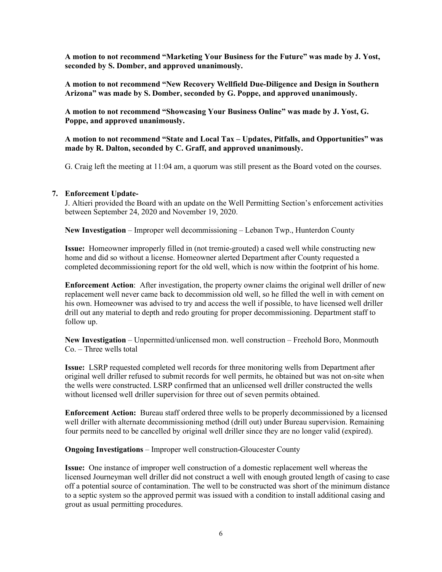**A motion to not recommend "Marketing Your Business for the Future" was made by J. Yost, seconded by S. Domber, and approved unanimously.**

**A motion to not recommend "New Recovery Wellfield Due-Diligence and Design in Southern Arizona" was made by S. Domber, seconded by G. Poppe, and approved unanimously.**

**A motion to not recommend "Showcasing Your Business Online" was made by J. Yost, G. Poppe, and approved unanimously.**

**A motion to not recommend "State and Local Tax – Updates, Pitfalls, and Opportunities" was made by R. Dalton, seconded by C. Graff, and approved unanimously.**

G. Craig left the meeting at 11:04 am, a quorum was still present as the Board voted on the courses.

## **7. Enforcement Update-**

J. Altieri provided the Board with an update on the Well Permitting Section's enforcement activities between September 24, 2020 and November 19, 2020.

**New Investigation** – Improper well decommissioning – Lebanon Twp., Hunterdon County

**Issue:** Homeowner improperly filled in (not tremie-grouted) a cased well while constructing new home and did so without a license. Homeowner alerted Department after County requested a completed decommissioning report for the old well, which is now within the footprint of his home.

**Enforcement Action**: After investigation, the property owner claims the original well driller of new replacement well never came back to decommission old well, so he filled the well in with cement on his own. Homeowner was advised to try and access the well if possible, to have licensed well driller drill out any material to depth and redo grouting for proper decommissioning. Department staff to follow up.

**New Investigation** – Unpermitted/unlicensed mon. well construction – Freehold Boro, Monmouth Co. – Three wells total

**Issue:** LSRP requested completed well records for three monitoring wells from Department after original well driller refused to submit records for well permits, he obtained but was not on-site when the wells were constructed. LSRP confirmed that an unlicensed well driller constructed the wells without licensed well driller supervision for three out of seven permits obtained.

**Enforcement Action:** Bureau staff ordered three wells to be properly decommissioned by a licensed well driller with alternate decommissioning method (drill out) under Bureau supervision. Remaining four permits need to be cancelled by original well driller since they are no longer valid (expired).

**Ongoing Investigations** – Improper well construction-Gloucester County

**Issue:** One instance of improper well construction of a domestic replacement well whereas the licensed Journeyman well driller did not construct a well with enough grouted length of casing to case off a potential source of contamination. The well to be constructed was short of the minimum distance to a septic system so the approved permit was issued with a condition to install additional casing and grout as usual permitting procedures.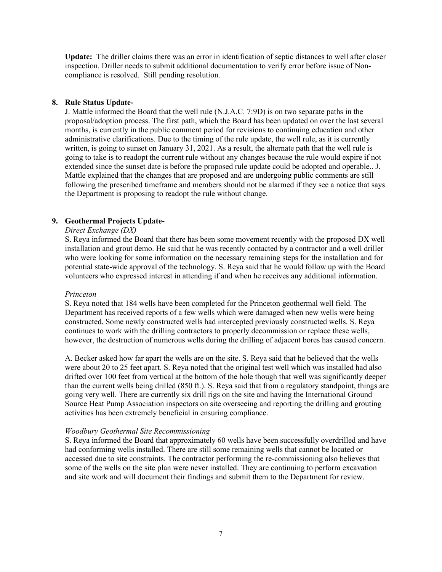**Update:** The driller claims there was an error in identification of septic distances to well after closer inspection. Driller needs to submit additional documentation to verify error before issue of Noncompliance is resolved. Still pending resolution.

# **8. Rule Status Update-**

J. Mattle informed the Board that the well rule (N.J.A.C. 7:9D) is on two separate paths in the proposal/adoption process. The first path, which the Board has been updated on over the last several months, is currently in the public comment period for revisions to continuing education and other administrative clarifications. Due to the timing of the rule update, the well rule, as it is currently written, is going to sunset on January 31, 2021. As a result, the alternate path that the well rule is going to take is to readopt the current rule without any changes because the rule would expire if not extended since the sunset date is before the proposed rule update could be adopted and operable.. J. Mattle explained that the changes that are proposed and are undergoing public comments are still following the prescribed timeframe and members should not be alarmed if they see a notice that says the Department is proposing to readopt the rule without change.

# **9. Geothermal Projects Update-**

## *Direct Exchange (DX)*

S. Reya informed the Board that there has been some movement recently with the proposed DX well installation and grout demo. He said that he was recently contacted by a contractor and a well driller who were looking for some information on the necessary remaining steps for the installation and for potential state-wide approval of the technology. S. Reya said that he would follow up with the Board volunteers who expressed interest in attending if and when he receives any additional information.

# *Princeton*

S. Reya noted that 184 wells have been completed for the Princeton geothermal well field. The Department has received reports of a few wells which were damaged when new wells were being constructed. Some newly constructed wells had intercepted previously constructed wells. S. Reya continues to work with the drilling contractors to properly decommission or replace these wells, however, the destruction of numerous wells during the drilling of adjacent bores has caused concern.

A. Becker asked how far apart the wells are on the site. S. Reya said that he believed that the wells were about 20 to 25 feet apart. S. Reya noted that the original test well which was installed had also drifted over 100 feet from vertical at the bottom of the hole though that well was significantly deeper than the current wells being drilled (850 ft.). S. Reya said that from a regulatory standpoint, things are going very well. There are currently six drill rigs on the site and having the International Ground Source Heat Pump Association inspectors on site overseeing and reporting the drilling and grouting activities has been extremely beneficial in ensuring compliance.

# *Woodbury Geothermal Site Recommissioning*

S. Reya informed the Board that approximately 60 wells have been successfully overdrilled and have had conforming wells installed. There are still some remaining wells that cannot be located or accessed due to site constraints. The contractor performing the re-commissioning also believes that some of the wells on the site plan were never installed. They are continuing to perform excavation and site work and will document their findings and submit them to the Department for review.